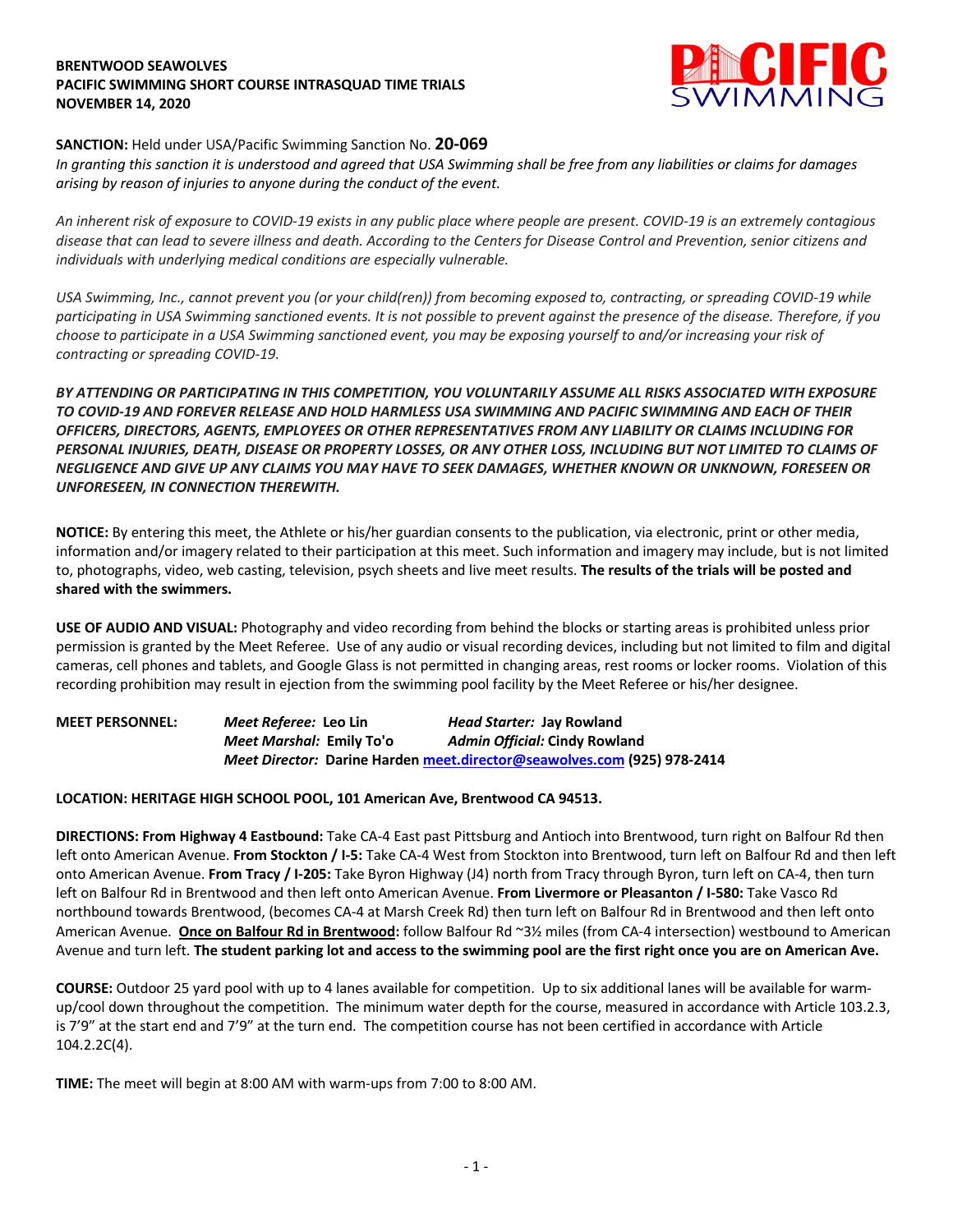## **BRENTWOOD SEAWOLVES PACIFIC SWIMMING SHORT COURSE INTRASQUAD TIME TRIALS NOVEMBER 14, 2020**



# **SANCTION:** Held under USA/Pacific Swimming Sanction No. **20-069**

*In granting this sanction it is understood and agreed that USA Swimming shall be free from any liabilities or claims for damages arising by reason of injuries to anyone during the conduct of the event.* 

*An inherent risk of exposure to COVID-19 exists in any public place where people are present. COVID-19 is an extremely contagious disease that can lead to severe illness and death. According to the Centers for Disease Control and Prevention, senior citizens and individuals with underlying medical conditions are especially vulnerable.*

*USA Swimming, Inc., cannot prevent you (or your child(ren)) from becoming exposed to, contracting, or spreading COVID-19 while participating in USA Swimming sanctioned events. It is not possible to prevent against the presence of the disease. Therefore, if you choose to participate in a USA Swimming sanctioned event, you may be exposing yourself to and/or increasing your risk of contracting or spreading COVID-19.*

*BY ATTENDING OR PARTICIPATING IN THIS COMPETITION, YOU VOLUNTARILY ASSUME ALL RISKS ASSOCIATED WITH EXPOSURE TO COVID-19 AND FOREVER RELEASE AND HOLD HARMLESS USA SWIMMING AND PACIFIC SWIMMING AND EACH OF THEIR OFFICERS, DIRECTORS, AGENTS, EMPLOYEES OR OTHER REPRESENTATIVES FROM ANY LIABILITY OR CLAIMS INCLUDING FOR PERSONAL INJURIES, DEATH, DISEASE OR PROPERTY LOSSES, OR ANY OTHER LOSS, INCLUDING BUT NOT LIMITED TO CLAIMS OF NEGLIGENCE AND GIVE UP ANY CLAIMS YOU MAY HAVE TO SEEK DAMAGES, WHETHER KNOWN OR UNKNOWN, FORESEEN OR UNFORESEEN, IN CONNECTION THEREWITH.*

**NOTICE:** By entering this meet, the Athlete or his/her guardian consents to the publication, via electronic, print or other media, information and/or imagery related to their participation at this meet. Such information and imagery may include, but is not limited to, photographs, video, web casting, television, psych sheets and live meet results. **The results of the trials will be posted and shared with the swimmers.**

**USE OF AUDIO AND VISUAL:** Photography and video recording from behind the blocks or starting areas is prohibited unless prior permission is granted by the Meet Referee. Use of any audio or visual recording devices, including but not limited to film and digital cameras, cell phones and tablets, and Google Glass is not permitted in changing areas, rest rooms or locker rooms. Violation of this recording prohibition may result in ejection from the swimming pool facility by the Meet Referee or his/her designee.

**MEET PERSONNEL:** *Meet Referee:* **Leo Lin** *Head Starter:* **Jay Rowland** *Meet Marshal:* **Emily To'o** *Admin Official:* **Cindy Rowland** *Meet Director:* **Darine Harden meet.director@seawolves.com (925) 978-2414**

## **LOCATION: HERITAGE HIGH SCHOOL POOL, 101 American Ave, Brentwood CA 94513.**

**DIRECTIONS: From Highway 4 Eastbound:** Take CA-4 East past Pittsburg and Antioch into Brentwood, turn right on Balfour Rd then left onto American Avenue. **From Stockton / I-5:** Take CA-4 West from Stockton into Brentwood, turn left on Balfour Rd and then left onto American Avenue. **From Tracy / I-205:** Take Byron Highway (J4) north from Tracy through Byron, turn left on CA-4, then turn left on Balfour Rd in Brentwood and then left onto American Avenue. **From Livermore or Pleasanton / I-580:** Take Vasco Rd northbound towards Brentwood, (becomes CA-4 at Marsh Creek Rd) then turn left on Balfour Rd in Brentwood and then left onto American Avenue. **Once on Balfour Rd in Brentwood:** follow Balfour Rd ~3½ miles (from CA-4 intersection) westbound to American Avenue and turn left. **The student parking lot and access to the swimming pool are the first right once you are on American Ave.**

**COURSE:** Outdoor 25 yard pool with up to 4 lanes available for competition. Up to six additional lanes will be available for warmup/cool down throughout the competition. The minimum water depth for the course, measured in accordance with Article 103.2.3, is 7'9" at the start end and 7'9" at the turn end. The competition course has not been certified in accordance with Article 104.2.2C(4).

**TIME:** The meet will begin at 8:00 AM with warm-ups from 7:00 to 8:00 AM.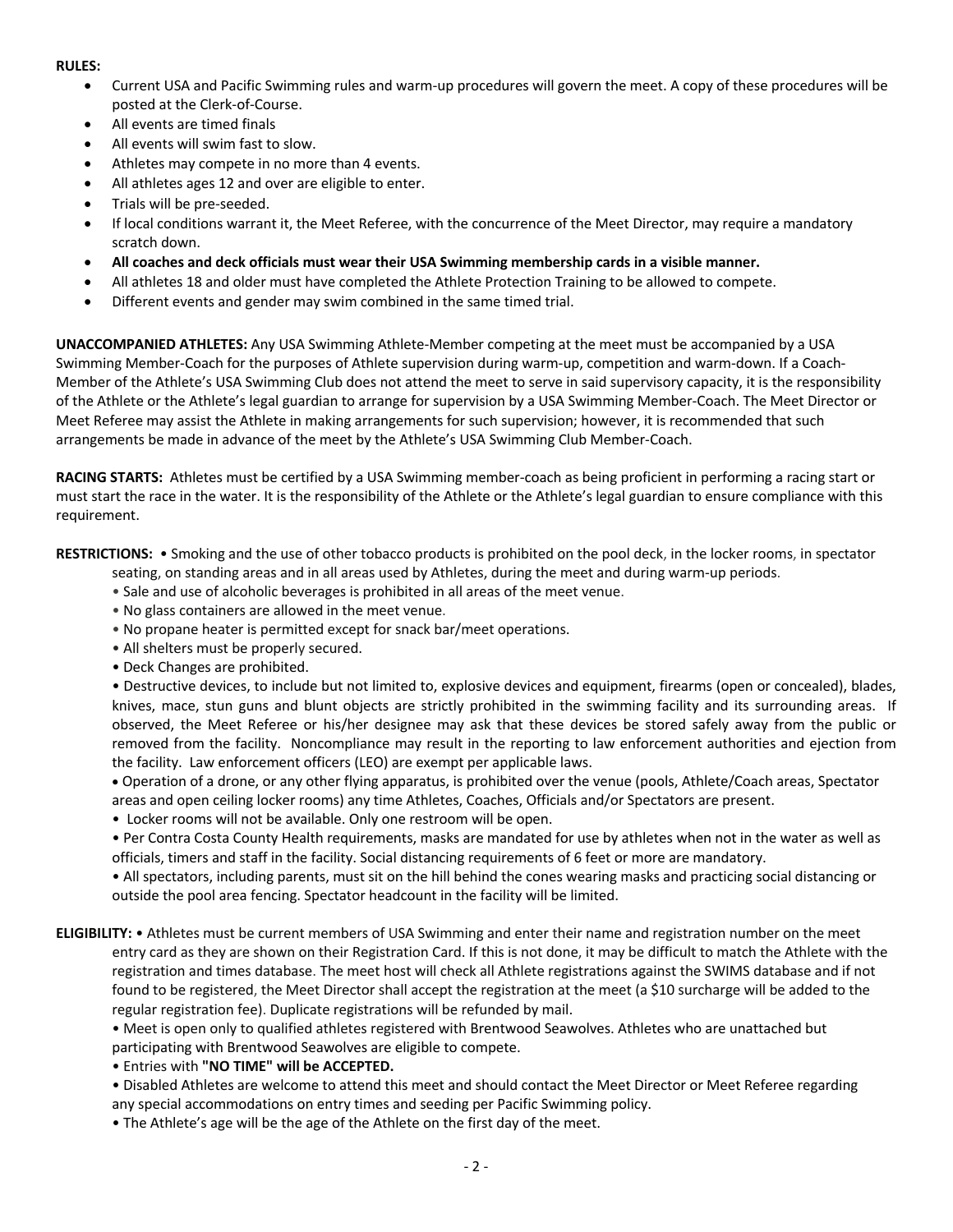### **RULES:**

- Current USA and Pacific Swimming rules and warm-up procedures will govern the meet. A copy of these procedures will be posted at the Clerk-of-Course.
- All events are timed finals
- All events will swim fast to slow.
- Athletes may compete in no more than 4 events.
- All athletes ages 12 and over are eligible to enter.
- Trials will be pre-seeded.
- If local conditions warrant it, the Meet Referee, with the concurrence of the Meet Director, may require a mandatory scratch down.
- **All coaches and deck officials must wear their USA Swimming membership cards in a visible manner.**
- All athletes 18 and older must have completed the Athlete Protection Training to be allowed to compete.
- Different events and gender may swim combined in the same timed trial.

**UNACCOMPANIED ATHLETES:** Any USA Swimming Athlete-Member competing at the meet must be accompanied by a USA Swimming Member-Coach for the purposes of Athlete supervision during warm-up, competition and warm-down. If a Coach-Member of the Athlete's USA Swimming Club does not attend the meet to serve in said supervisory capacity, it is the responsibility of the Athlete or the Athlete's legal guardian to arrange for supervision by a USA Swimming Member-Coach. The Meet Director or Meet Referee may assist the Athlete in making arrangements for such supervision; however, it is recommended that such arrangements be made in advance of the meet by the Athlete's USA Swimming Club Member-Coach.

**RACING STARTS:** Athletes must be certified by a USA Swimming member-coach as being proficient in performing a racing start or must start the race in the water. It is the responsibility of the Athlete or the Athlete's legal guardian to ensure compliance with this requirement.

**RESTRICTIONS:** • Smoking and the use of other tobacco products is prohibited on the pool deck, in the locker rooms, in spectator seating, on standing areas and in all areas used by Athletes, during the meet and during warm-up periods.

- Sale and use of alcoholic beverages is prohibited in all areas of the meet venue.
- No glass containers are allowed in the meet venue.
- No propane heater is permitted except for snack bar/meet operations.
- All shelters must be properly secured.
- Deck Changes are prohibited.

• Destructive devices, to include but not limited to, explosive devices and equipment, firearms (open or concealed), blades, knives, mace, stun guns and blunt objects are strictly prohibited in the swimming facility and its surrounding areas. If observed, the Meet Referee or his/her designee may ask that these devices be stored safely away from the public or removed from the facility. Noncompliance may result in the reporting to law enforcement authorities and ejection from the facility. Law enforcement officers (LEO) are exempt per applicable laws.

• Operation of a drone, or any other flying apparatus, is prohibited over the venue (pools, Athlete/Coach areas, Spectator areas and open ceiling locker rooms) any time Athletes, Coaches, Officials and/or Spectators are present.

• Locker rooms will not be available. Only one restroom will be open.

• Per Contra Costa County Health requirements, masks are mandated for use by athletes when not in the water as well as officials, timers and staff in the facility. Social distancing requirements of 6 feet or more are mandatory.

• All spectators, including parents, must sit on the hill behind the cones wearing masks and practicing social distancing or outside the pool area fencing. Spectator headcount in the facility will be limited.

**ELIGIBILITY:** • Athletes must be current members of USA Swimming and enter their name and registration number on the meet entry card as they are shown on their Registration Card. If this is not done, it may be difficult to match the Athlete with the registration and times database. The meet host will check all Athlete registrations against the SWIMS database and if not found to be registered, the Meet Director shall accept the registration at the meet (a \$10 surcharge will be added to the regular registration fee). Duplicate registrations will be refunded by mail.

• Meet is open only to qualified athletes registered with Brentwood Seawolves. Athletes who are unattached but participating with Brentwood Seawolves are eligible to compete.

• Entries with **"NO TIME" will be ACCEPTED.**

• Disabled Athletes are welcome to attend this meet and should contact the Meet Director or Meet Referee regarding

any special accommodations on entry times and seeding per Pacific Swimming policy. • The Athlete's age will be the age of the Athlete on the first day of the meet.